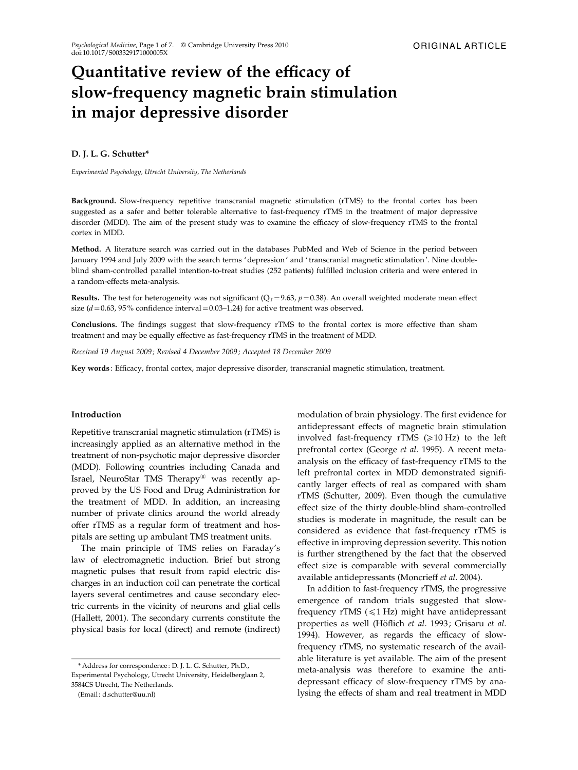# Quantitative review of the efficacy of slow-frequency magnetic brain stimulation in major depressive disorder

## D. J. L. G. Schutter\*

Experimental Psychology, Utrecht University, The Netherlands

Background. Slow-frequency repetitive transcranial magnetic stimulation (rTMS) to the frontal cortex has been suggested as a safer and better tolerable alternative to fast-frequency rTMS in the treatment of major depressive disorder (MDD). The aim of the present study was to examine the efficacy of slow-frequency rTMS to the frontal cortex in MDD.

Method. A literature search was carried out in the databases PubMed and Web of Science in the period between January 1994 and July 2009 with the search terms ' depression' and ' transcranial magnetic stimulation'. Nine doubleblind sham-controlled parallel intention-to-treat studies (252 patients) fulfilled inclusion criteria and were entered in a random-effects meta-analysis.

**Results.** The test for heterogeneity was not significant ( $Q_T$ =9.63,  $p$  =0.38). An overall weighted moderate mean effect size  $(d=0.63, 95\%$  confidence interval = 0.03–1.24) for active treatment was observed.

Conclusions. The findings suggest that slow-frequency rTMS to the frontal cortex is more effective than sham treatment and may be equally effective as fast-frequency rTMS in the treatment of MDD.

Received 19 August 2009 ; Revised 4 December 2009 ; Accepted 18 December 2009

Key words : Efficacy, frontal cortex, major depressive disorder, transcranial magnetic stimulation, treatment.

#### Introduction

Repetitive transcranial magnetic stimulation (rTMS) is increasingly applied as an alternative method in the treatment of non-psychotic major depressive disorder (MDD). Following countries including Canada and Israel, NeuroStar TMS Therapy*<sup>1</sup>* was recently approved by the US Food and Drug Administration for the treatment of MDD. In addition, an increasing number of private clinics around the world already offer rTMS as a regular form of treatment and hospitals are setting up ambulant TMS treatment units.

The main principle of TMS relies on Faraday's law of electromagnetic induction. Brief but strong magnetic pulses that result from rapid electric discharges in an induction coil can penetrate the cortical layers several centimetres and cause secondary electric currents in the vicinity of neurons and glial cells (Hallett, 2001). The secondary currents constitute the physical basis for local (direct) and remote (indirect)

modulation of brain physiology. The first evidence for antidepressant effects of magnetic brain stimulation involved fast-frequency rTMS  $(\geq 10 \text{ Hz})$  to the left prefrontal cortex (George et al. 1995). A recent metaanalysis on the efficacy of fast-frequency rTMS to the left prefrontal cortex in MDD demonstrated significantly larger effects of real as compared with sham rTMS (Schutter, 2009). Even though the cumulative effect size of the thirty double-blind sham-controlled studies is moderate in magnitude, the result can be considered as evidence that fast-frequency rTMS is effective in improving depression severity. This notion is further strengthened by the fact that the observed effect size is comparable with several commercially available antidepressants (Moncrieff et al. 2004).

In addition to fast-frequency rTMS, the progressive emergence of random trials suggested that slowfrequency rTMS  $(\leq 1$  Hz) might have antidepressant properties as well (Höflich et al. 1993; Grisaru et al. 1994). However, as regards the efficacy of slowfrequency rTMS, no systematic research of the available literature is yet available. The aim of the present meta-analysis was therefore to examine the antidepressant efficacy of slow-frequency rTMS by analysing the effects of sham and real treatment in MDD

<sup>\*</sup> Address for correspondence : D. J. L. G. Schutter, Ph.D., Experimental Psychology, Utrecht University, Heidelberglaan 2, 3584CS Utrecht, The Netherlands.

<sup>(</sup>Email : d.schutter@uu.nl)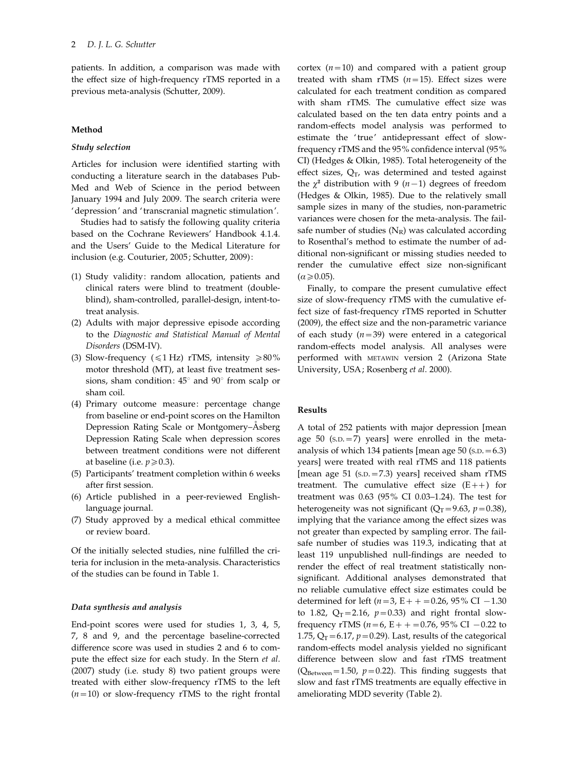patients. In addition, a comparison was made with the effect size of high-frequency rTMS reported in a previous meta-analysis (Schutter, 2009).

## Method

# Study selection

Articles for inclusion were identified starting with conducting a literature search in the databases Pub-Med and Web of Science in the period between January 1994 and July 2009. The search criteria were 'depression' and ' transcranial magnetic stimulation'.

Studies had to satisfy the following quality criteria based on the Cochrane Reviewers' Handbook 4.1.4. and the Users' Guide to the Medical Literature for inclusion (e.g. Couturier, 2005; Schutter, 2009):

- (1) Study validity: random allocation, patients and clinical raters were blind to treatment (doubleblind), sham-controlled, parallel-design, intent-totreat analysis.
- (2) Adults with major depressive episode according to the Diagnostic and Statistical Manual of Mental Disorders (DSM-IV).
- (3) Slow-frequency ( $\leq 1$  Hz) rTMS, intensity  $\geq 80\%$ motor threshold (MT), at least five treatment sessions, sham condition:  $45^{\circ}$  and  $90^{\circ}$  from scalp or sham coil.
- (4) Primary outcome measure: percentage change from baseline or end-point scores on the Hamilton Depression Rating Scale or Montgomery–Åsberg Depression Rating Scale when depression scores between treatment conditions were not different at baseline (i.e.  $p \ge 0.3$ ).
- (5) Participants' treatment completion within 6 weeks after first session.
- (6) Article published in a peer-reviewed Englishlanguage journal.
- (7) Study approved by a medical ethical committee or review board.

Of the initially selected studies, nine fulfilled the criteria for inclusion in the meta-analysis. Characteristics of the studies can be found in Table 1.

## Data synthesis and analysis

End-point scores were used for studies 1, 3, 4, 5, 7, 8 and 9, and the percentage baseline-corrected difference score was used in studies 2 and 6 to compute the effect size for each study. In the Stern et al. (2007) study (i.e. study 8) two patient groups were treated with either slow-frequency rTMS to the left  $(n=10)$  or slow-frequency rTMS to the right frontal cortex  $(n=10)$  and compared with a patient group treated with sham rTMS  $(n=15)$ . Effect sizes were calculated for each treatment condition as compared with sham rTMS. The cumulative effect size was calculated based on the ten data entry points and a random-effects model analysis was performed to estimate the 'true' antidepressant effect of slowfrequency rTMS and the 95% confidence interval (95% CI) (Hedges & Olkin, 1985). Total heterogeneity of the effect sizes,  $Q_T$ , was determined and tested against the  $\chi^2$  distribution with 9 (n-1) degrees of freedom (Hedges & Olkin, 1985). Due to the relatively small sample sizes in many of the studies, non-parametric variances were chosen for the meta-analysis. The failsafe number of studies  $(N_R)$  was calculated according to Rosenthal's method to estimate the number of additional non-significant or missing studies needed to render the cumulative effect size non-significant  $\alpha \geqslant 0.05$ ).

Finally, to compare the present cumulative effect size of slow-frequency rTMS with the cumulative effect size of fast-frequency rTMS reported in Schutter (2009), the effect size and the non-parametric variance of each study  $(n=39)$  were entered in a categorical random-effects model analysis. All analyses were performed with METAWIN version 2 (Arizona State University, USA; Rosenberg et al. 2000).

## Results

A total of 252 patients with major depression [mean age  $50$  (s.p.  $=7$ ) years] were enrolled in the metaanalysis of which 134 patients [mean age  $50$  (s.p.  $= 6.3$ ) years] were treated with real rTMS and 118 patients [mean age 51 (s.p. = 7.3) years] received sham rTMS treatment. The cumulative effect size  $(E++)$  for treatment was 0.63 (95% CI 0.03–1.24). The test for heterogeneity was not significant ( $Q_T$ =9.63, p=0.38), implying that the variance among the effect sizes was not greater than expected by sampling error. The failsafe number of studies was 119.3, indicating that at least 119 unpublished null-findings are needed to render the effect of real treatment statistically nonsignificant. Additional analyses demonstrated that no reliable cumulative effect size estimates could be determined for left ( $n=3$ , E + + = 0.26, 95% CI - 1.30 to 1.82,  $Q_T = 2.16$ ,  $p = 0.33$ ) and right frontal slowfrequency rTMS ( $n=6$ ,  $E++=0.76$ , 95% CI  $-0.22$  to 1.75,  $Q_T = 6.17$ ,  $p = 0.29$ ). Last, results of the categorical random-effects model analysis yielded no significant difference between slow and fast rTMS treatment ( $Q_{\text{Between}}$ =1.50,  $p$ =0.22). This finding suggests that slow and fast rTMS treatments are equally effective in ameliorating MDD severity (Table 2).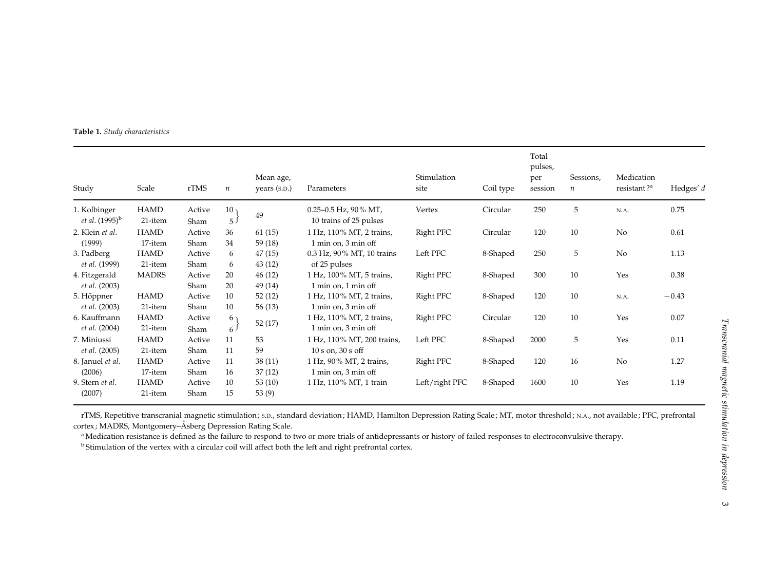Table 1. Study characteristics

| Study                                      | Scale                  | rTMS           | $\boldsymbol{n}$                  | Mean age,<br>years (S.D.) | Parameters                                                          | Stimulation<br>site | Coil type | Total<br>pulses,<br>per<br>session | Sessions,<br>$\boldsymbol{n}$ | Medication<br>resistant? <sup>a</sup> | Hedges' d |
|--------------------------------------------|------------------------|----------------|-----------------------------------|---------------------------|---------------------------------------------------------------------|---------------------|-----------|------------------------------------|-------------------------------|---------------------------------------|-----------|
| 1. Kolbinger<br><i>et al.</i> $(1995)^{b}$ | <b>HAMD</b><br>21-item | Active<br>Sham | 10 <sub>1</sub><br>5 <sup>1</sup> | 49                        | $0.25 - 0.5$ Hz, $90\%$ MT,<br>10 trains of 25 pulses               | Vertex              | Circular  | 250                                | 5                             | N.A.                                  | 0.75      |
| 2. Klein et al.<br>(1999)                  | <b>HAMD</b><br>17-item | Active<br>Sham | 36<br>34                          | 61(15)<br>59 (18)         | 1 Hz, 110% MT, 2 trains,<br>$1 \text{ min}$ on, $3 \text{ min}$ off | Right PFC           | Circular  | 120                                | 10                            | No                                    | 0.61      |
| 3. Padberg<br><i>et al.</i> (1999)         | <b>HAMD</b><br>21-item | Active<br>Sham | 6<br>6                            | 47(15)<br>43(12)          | 0.3 Hz, 90% MT, 10 trains<br>of 25 pulses                           | Left PFC            | 8-Shaped  | 250                                | 5                             | No                                    | 1.13      |
| 4. Fitzgerald<br><i>et al.</i> (2003)      | <b>MADRS</b>           | Active<br>Sham | 20<br>20                          | 46 (12)<br>49 (14)        | 1 Hz, 100% MT, 5 trains,<br>$1$ min on, $1$ min off                 | Right PFC           | 8-Shaped  | 300                                | 10                            | Yes                                   | 0.38      |
| 5. Höppner<br><i>et al.</i> (2003)         | <b>HAMD</b><br>21-item | Active<br>Sham | 10<br>10                          | 52(12)<br>56(13)          | 1 Hz, 110% MT, 2 trains,<br>1 min on, 3 min off                     | Right PFC           | 8-Shaped  | 120                                | 10                            | N.A.                                  | $-0.43$   |
| 6. Kauffmann<br><i>et al.</i> (2004)       | <b>HAMD</b><br>21-item | Active<br>Sham | 6 <sub>1</sub><br>6 <sup>J</sup>  | 52(17)                    | 1 Hz, 110% MT, 2 trains,<br>1 min on, 3 min off                     | Right PFC           | Circular  | 120                                | 10                            | Yes                                   | 0.07      |
| 7. Miniussi<br><i>et al.</i> (2005)        | <b>HAMD</b><br>21-item | Active<br>Sham | 11<br>11                          | 53<br>59                  | 1 Hz, 110% MT, 200 trains,<br>$10 s$ on, $30 s$ off                 | Left PFC            | 8-Shaped  | 2000                               | 5                             | Yes                                   | 0.11      |
| 8. Januel et al.<br>(2006)                 | <b>HAMD</b><br>17-item | Active<br>Sham | 11<br>16                          | 38(11)<br>37(12)          | 1 Hz, 90% MT, 2 trains,<br>1 min on, 3 min off                      | Right PFC           | 8-Shaped  | 120                                | 16                            | No                                    | 1.27      |
| 9. Stern et al.<br>(2007)                  | <b>HAMD</b><br>21-item | Active<br>Sham | 10<br>15                          | 53 $(10)$<br>53 (9)       | 1 Hz, 110% MT, 1 train                                              | Left/right PFC      | 8-Shaped  | 1600                               | 10                            | Yes                                   | 1.19      |

rTMS, Repetitive transcranial magnetic stimulation ; S.D., standard deviation ; HAMD, Hamilton Depression Rating Scale ; MT, motor threshold ; N.A., not available ; PFC, prefrontal cortex ; MADRS, Montgomery–Åsberg Depression Rating Scale.

<sup>a</sup> Medication resistance is defined as the failure to respond to two or more trials of antidepressants or history of failed responses to electroconvulsive therapy.

<sup>b</sup> Stimulation of the vertex with a circular coil will affect both the left and right prefrontal cortex.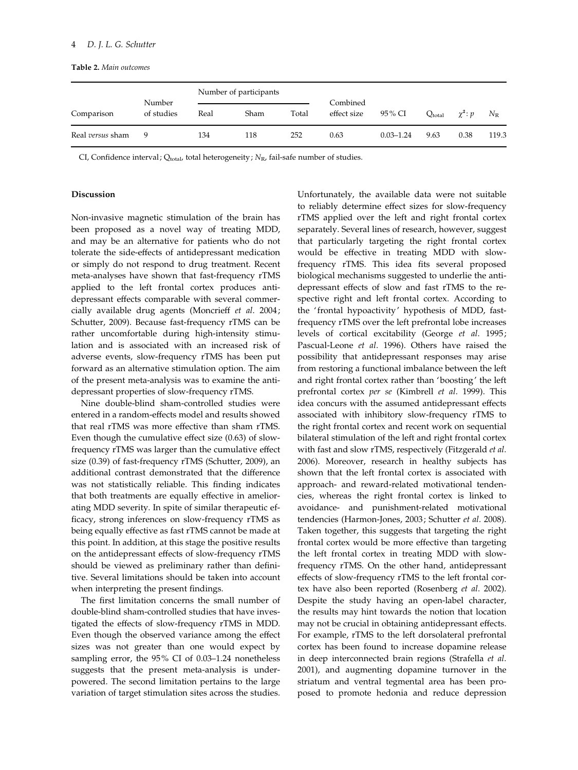Table 2. Main outcomes

|                  |                      |      | Number of participants |       |                         |               |             |                |             |
|------------------|----------------------|------|------------------------|-------|-------------------------|---------------|-------------|----------------|-------------|
| Comparison       | Number<br>of studies | Real | Sham                   | Total | Combined<br>effect size | 95% CI        | $Q_{total}$ | $\chi^2$ : $p$ | $N_{\rm R}$ |
| Real versus sham | 9                    | 134  | 118                    | 252   | 0.63                    | $0.03 - 1.24$ | 9.63        | 0.38           | 119.3       |

CI, Confidence interval;  $Q_{total}$ , total heterogeneity;  $N_R$ , fail-safe number of studies.

# Discussion

Non-invasive magnetic stimulation of the brain has been proposed as a novel way of treating MDD, and may be an alternative for patients who do not tolerate the side-effects of antidepressant medication or simply do not respond to drug treatment. Recent meta-analyses have shown that fast-frequency rTMS applied to the left frontal cortex produces antidepressant effects comparable with several commercially available drug agents (Moncrieff et al. 2004; Schutter, 2009). Because fast-frequency rTMS can be rather uncomfortable during high-intensity stimulation and is associated with an increased risk of adverse events, slow-frequency rTMS has been put forward as an alternative stimulation option. The aim of the present meta-analysis was to examine the antidepressant properties of slow-frequency rTMS.

Nine double-blind sham-controlled studies were entered in a random-effects model and results showed that real rTMS was more effective than sham rTMS. Even though the cumulative effect size (0.63) of slowfrequency rTMS was larger than the cumulative effect size (0.39) of fast-frequency rTMS (Schutter, 2009), an additional contrast demonstrated that the difference was not statistically reliable. This finding indicates that both treatments are equally effective in ameliorating MDD severity. In spite of similar therapeutic efficacy, strong inferences on slow-frequency rTMS as being equally effective as fast rTMS cannot be made at this point. In addition, at this stage the positive results on the antidepressant effects of slow-frequency rTMS should be viewed as preliminary rather than definitive. Several limitations should be taken into account when interpreting the present findings.

The first limitation concerns the small number of double-blind sham-controlled studies that have investigated the effects of slow-frequency rTMS in MDD. Even though the observed variance among the effect sizes was not greater than one would expect by sampling error, the 95% CI of 0.03–1.24 nonetheless suggests that the present meta-analysis is underpowered. The second limitation pertains to the large variation of target stimulation sites across the studies.

Unfortunately, the available data were not suitable to reliably determine effect sizes for slow-frequency rTMS applied over the left and right frontal cortex separately. Several lines of research, however, suggest that particularly targeting the right frontal cortex would be effective in treating MDD with slowfrequency rTMS. This idea fits several proposed biological mechanisms suggested to underlie the antidepressant effects of slow and fast rTMS to the respective right and left frontal cortex. According to the 'frontal hypoactivity' hypothesis of MDD, fastfrequency rTMS over the left prefrontal lobe increases levels of cortical excitability (George et al. 1995; Pascual-Leone et al. 1996). Others have raised the possibility that antidepressant responses may arise from restoring a functional imbalance between the left and right frontal cortex rather than ' boosting' the left prefrontal cortex per se (Kimbrell et al. 1999). This idea concurs with the assumed antidepressant effects associated with inhibitory slow-frequency rTMS to the right frontal cortex and recent work on sequential bilateral stimulation of the left and right frontal cortex with fast and slow rTMS, respectively (Fitzgerald et al. 2006). Moreover, research in healthy subjects has shown that the left frontal cortex is associated with approach- and reward-related motivational tendencies, whereas the right frontal cortex is linked to avoidance- and punishment-related motivational tendencies (Harmon-Jones, 2003; Schutter et al. 2008). Taken together, this suggests that targeting the right frontal cortex would be more effective than targeting the left frontal cortex in treating MDD with slowfrequency rTMS. On the other hand, antidepressant effects of slow-frequency rTMS to the left frontal cortex have also been reported (Rosenberg et al. 2002). Despite the study having an open-label character, the results may hint towards the notion that location may not be crucial in obtaining antidepressant effects. For example, rTMS to the left dorsolateral prefrontal cortex has been found to increase dopamine release in deep interconnected brain regions (Strafella et al. 2001), and augmenting dopamine turnover in the striatum and ventral tegmental area has been proposed to promote hedonia and reduce depression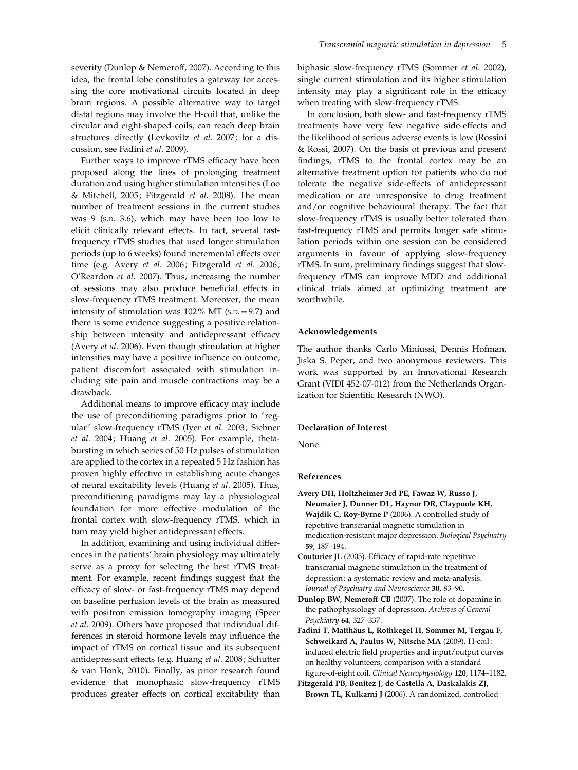severity (Dunlop & Nemeroff, 2007). According to this idea, the frontal lobe constitutes a gateway for accessing the core motivational circuits located in deep brain regions. A possible alternative way to target distal regions may involve the H-coil that, unlike the circular and eight-shaped coils, can reach deep brain structures directly (Levkovitz et al. 2007; for a discussion, see Fadini et al. 2009).

Further ways to improve rTMS efficacy have been proposed along the lines of prolonging treatment duration and using higher stimulation intensities (Loo & Mitchell, 2005; Fitzgerald et al. 2008). The mean number of treatment sessions in the current studies was 9 (S.D. 3.6), which may have been too low to elicit clinically relevant effects. In fact, several fastfrequency rTMS studies that used longer stimulation periods (up to 6 weeks) found incremental effects over time (e.g. Avery et al. 2006; Fitzgerald et al. 2006; O'Reardon et al. 2007). Thus, increasing the number of sessions may also produce beneficial effects in slow-frequency rTMS treatment. Moreover, the mean intensity of stimulation was 102% MT (S.D.=9.7) and there is some evidence suggesting a positive relationship between intensity and antidepressant efficacy (Avery et al. 2006). Even though stimulation at higher intensities may have a positive influence on outcome, patient discomfort associated with stimulation including site pain and muscle contractions may be a drawback.

Additional means to improve efficacy may include the use of preconditioning paradigms prior to 'regular' slow-frequency rTMS (Iyer et al. 2003; Siebner et al. 2004; Huang et al. 2005). For example, thetabursting in which series of 50 Hz pulses of stimulation are applied to the cortex in a repeated 5 Hz fashion has proven highly effective in establishing acute changes of neural excitability levels (Huang et al. 2005). Thus, preconditioning paradigms may lay a physiological foundation for more effective modulation of the frontal cortex with slow-frequency rTMS, which in turn may yield higher antidepressant effects.

In addition, examining and using individual differences in the patients' brain physiology may ultimately serve as a proxy for selecting the best rTMS treatment. For example, recent findings suggest that the efficacy of slow- or fast-frequency rTMS may depend on baseline perfusion levels of the brain as measured with positron emission tomography imaging (Speer et al. 2009). Others have proposed that individual differences in steroid hormone levels may influence the impact of rTMS on cortical tissue and its subsequent antidepressant effects (e.g. Huang et al. 2008; Schutter & van Honk, 2010). Finally, as prior research found evidence that monophasic slow-frequency rTMS produces greater effects on cortical excitability than biphasic slow-frequency rTMS (Sommer et al. 2002), single current stimulation and its higher stimulation intensity may play a significant role in the efficacy when treating with slow-frequency rTMS.

In conclusion, both slow- and fast-frequency rTMS treatments have very few negative side-effects and the likelihood of serious adverse events is low (Rossini & Rossi, 2007). On the basis of previous and present findings, rTMS to the frontal cortex may be an alternative treatment option for patients who do not tolerate the negative side-effects of antidepressant medication or are unresponsive to drug treatment and/or cognitive behavioural therapy. The fact that slow-frequency rTMS is usually better tolerated than fast-frequency rTMS and permits longer safe stimulation periods within one session can be considered arguments in favour of applying slow-frequency rTMS. In sum, preliminary findings suggest that slowfrequency rTMS can improve MDD and additional clinical trials aimed at optimizing treatment are worthwhile.

# Acknowledgements

The author thanks Carlo Miniussi, Dennis Hofman, Jiska S. Peper, and two anonymous reviewers. This work was supported by an Innovational Research Grant (VIDI 452-07-012) from the Netherlands Organization for Scientific Research (NWO).

#### Declaration of Interest

None.

#### References

- Avery DH, Holtzheimer 3rd PE, Fawaz W, Russo J, Neumaier J, Dunner DL, Haynor DR, Claypoole KH, Wajdik C, Roy-Byrne P (2006). A controlled study of repetitive transcranial magnetic stimulation in medication-resistant major depression. Biological Psychiatry 59, 187–194.
- Couturier JL (2005). Efficacy of rapid-rate repetitive transcranial magnetic stimulation in the treatment of depression: a systematic review and meta-analysis. Journal of Psychiatry and Neuroscience 30, 83–90.
- Dunlop BW, Nemeroff CB (2007). The role of dopamine in the pathophysiology of depression. Archives of General Psychiatry 64, 327–337.
- Fadini T, Matthäus L, Rothkegel H, Sommer M, Tergau F, Schweikard A, Paulus W, Nitsche MA (2009). H-coil: induced electric field properties and input/output curves on healthy volunteers, comparison with a standard figure-of-eight coil. Clinical Neurophysiology 120, 1174–1182.
- Fitzgerald PB, Benitez J, de Castella A, Daskalakis ZJ, Brown TL, Kulkarni J (2006). A randomized, controlled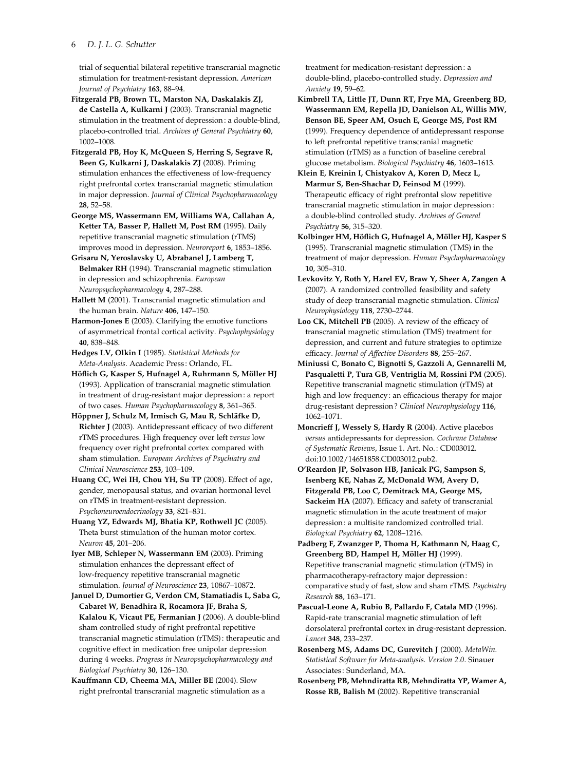### 6 D. J. L. G. Schutter

trial of sequential bilateral repetitive transcranial magnetic stimulation for treatment-resistant depression. American Journal of Psychiatry 163, 88–94.

Fitzgerald PB, Brown TL, Marston NA, Daskalakis ZJ, de Castella A, Kulkarni J (2003). Transcranial magnetic stimulation in the treatment of depression : a double-blind, placebo-controlled trial. Archives of General Psychiatry 60, 1002–1008.

Fitzgerald PB, Hoy K, McQueen S, Herring S, Segrave R, Been G, Kulkarni J, Daskalakis ZJ (2008). Priming stimulation enhances the effectiveness of low-frequency right prefrontal cortex transcranial magnetic stimulation in major depression. Journal of Clinical Psychopharmacology 28, 52–58.

George MS, Wassermann EM, Williams WA, Callahan A, Ketter TA, Basser P, Hallett M, Post RM (1995). Daily repetitive transcranial magnetic stimulation (rTMS) improves mood in depression. Neuroreport 6, 1853–1856.

Grisaru N, Yeroslavsky U, Abrabanel J, Lamberg T, Belmaker RH (1994). Transcranial magnetic stimulation in depression and schizophrenia. European Neuropsychopharmacology 4, 287–288.

Hallett M (2001). Transcranial magnetic stimulation and the human brain. Nature 406, 147–150.

Harmon-Jones E (2003). Clarifying the emotive functions of asymmetrical frontal cortical activity. Psychophysiology 40, 838–848.

Hedges LV, Olkin I (1985). Statistical Methods for Meta-Analysis. Academic Press : Orlando, FL.

Höflich G, Kasper S, Hufnagel A, Ruhrmann S, Möller HJ (1993). Application of transcranial magnetic stimulation in treatment of drug-resistant major depression : a report of two cases. Human Psychopharmacology 8, 361–365.

Höppner J, Schulz M, Irmisch G, Mau R, Schläfke D, Richter J (2003). Antidepressant efficacy of two different rTMS procedures. High frequency over left versus low frequency over right prefrontal cortex compared with sham stimulation. European Archives of Psychiatry and Clinical Neuroscience 253, 103–109.

Huang CC, Wei IH, Chou YH, Su TP (2008). Effect of age, gender, menopausal status, and ovarian hormonal level on rTMS in treatment-resistant depression. Psychoneuroendocrinology 33, 821–831.

Huang YZ, Edwards MJ, Bhatia KP, Rothwell JC (2005). Theta burst stimulation of the human motor cortex. Neuron 45, 201–206.

Iyer MB, Schleper N, Wassermann EM (2003). Priming stimulation enhances the depressant effect of low-frequency repetitive transcranial magnetic stimulation. Journal of Neuroscience 23, 10867–10872.

Januel D, Dumortier G, Verdon CM, Stamatiadis L, Saba G, Cabaret W, Benadhira R, Rocamora JF, Braha S, Kalalou K, Vicaut PE, Fermanian J (2006). A double-blind sham controlled study of right prefrontal repetitive transcranial magnetic stimulation (rTMS) : therapeutic and cognitive effect in medication free unipolar depression during 4 weeks. Progress in Neuropsychopharmacology and Biological Psychiatry 30, 126–130.

Kauffmann CD, Cheema MA, Miller BE (2004). Slow right prefrontal transcranial magnetic stimulation as a treatment for medication-resistant depression: a double-blind, placebo-controlled study. Depression and Anxiety 19, 59–62.

Kimbrell TA, Little JT, Dunn RT, Frye MA, Greenberg BD, Wassermann EM, Repella JD, Danielson AL, Willis MW, Benson BE, Speer AM, Osuch E, George MS, Post RM (1999). Frequency dependence of antidepressant response to left prefrontal repetitive transcranial magnetic stimulation (rTMS) as a function of baseline cerebral glucose metabolism. Biological Psychiatry 46, 1603–1613.

Klein E, Kreinin I, Chistyakov A, Koren D, Mecz L, Marmur S, Ben-Shachar D, Feinsod M (1999). Therapeutic efficacy of right prefrontal slow repetitive transcranial magnetic stimulation in major depression: a double-blind controlled study. Archives of General Psychiatry 56, 315–320.

Kolbinger HM, Höflich G, Hufnagel A, Möller HJ, Kasper S (1995). Transcranial magnetic stimulation (TMS) in the treatment of major depression. Human Psychopharmacology 10, 305–310.

Levkovitz Y, Roth Y, Harel EV, Braw Y, Sheer A, Zangen A (2007). A randomized controlled feasibility and safety study of deep transcranial magnetic stimulation. Clinical Neurophysiology 118, 2730–2744.

Loo CK, Mitchell PB (2005). A review of the efficacy of transcranial magnetic stimulation (TMS) treatment for depression, and current and future strategies to optimize efficacy. Journal of Affective Disorders 88, 255–267.

Miniussi C, Bonato C, Bignotti S, Gazzoli A, Gennarelli M, Pasqualetti P, Tura GB, Ventriglia M, Rossini PM (2005). Repetitive transcranial magnetic stimulation (rTMS) at high and low frequency : an efficacious therapy for major drug-resistant depression ? Clinical Neurophysiology 116, 1062–1071.

Moncrieff J, Wessely S, Hardy R (2004). Active placebos versus antidepressants for depression. Cochrane Database of Systematic Reviews, Issue 1. Art. No. : CD003012. doi:10.1002/14651858.CD003012.pub2.

O'Reardon JP, Solvason HB, Janicak PG, Sampson S, Isenberg KE, Nahas Z, McDonald WM, Avery D, Fitzgerald PB, Loo C, Demitrack MA, George MS, Sackeim HA (2007). Efficacy and safety of transcranial magnetic stimulation in the acute treatment of major depression: a multisite randomized controlled trial. Biological Psychiatry 62, 1208–1216.

Padberg F, Zwanzger P, Thoma H, Kathmann N, Haag C, Greenberg BD, Hampel H, Möller HJ (1999). Repetitive transcranial magnetic stimulation (rTMS) in pharmacotherapy-refractory major depression: comparative study of fast, slow and sham rTMS. Psychiatry Research 88, 163–171.

Pascual-Leone A, Rubio B, Pallardo F, Catala MD (1996). Rapid-rate transcranial magnetic stimulation of left dorsolateral prefrontal cortex in drug-resistant depression. Lancet 348, 233–237.

Rosenberg MS, Adams DC, Gurevitch J (2000). MetaWin. Statistical Software for Meta-analysis. Version 2.0. Sinauer Associates: Sunderland, MA.

Rosenberg PB, Mehndiratta RB, Mehndiratta YP, Wamer A, Rosse RB, Balish M (2002). Repetitive transcranial